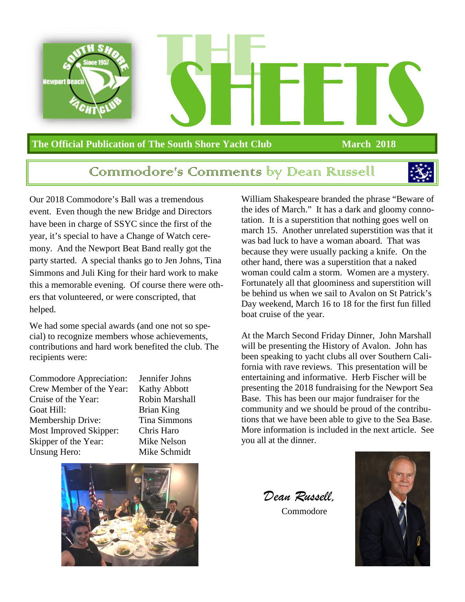

#### **The Official Publication of The South Shore Yacht Club March 2018**

#### Commodore's Comments by Dean Russell



Our 2018 Commodore's Ball was a tremendous event. Even though the new Bridge and Directors have been in charge of SSYC since the first of the year, it's special to have a Change of Watch ceremony. And the Newport Beat Band really got the party started. A special thanks go to Jen Johns, Tina Simmons and Juli King for their hard work to make this a memorable evening. Of course there were others that volunteered, or were conscripted, that helped.

We had some special awards (and one not so special) to recognize members whose achievements, contributions and hard work benefited the club. The recipients were:

Commodore Appreciation: Jennifer Johns Crew Member of the Year: Kathy Abbott Cruise of the Year: Robin Marshall Goat Hill: Brian King Membership Drive: Tina Simmons Most Improved Skipper: Chris Haro Skipper of the Year: Mike Nelson Unsung Hero: Mike Schmidt

William Shakespeare branded the phrase "Beware of the ides of March." It has a dark and gloomy connotation. It is a superstition that nothing goes well on march 15. Another unrelated superstition was that it was bad luck to have a woman aboard. That was because they were usually packing a knife. On the other hand, there was a superstition that a naked woman could calm a storm. Women are a mystery. Fortunately all that gloominess and superstition will be behind us when we sail to Avalon on St Patrick's Day weekend, March 16 to 18 for the first fun filled boat cruise of the year.

At the March Second Friday Dinner, John Marshall will be presenting the History of Avalon. John has been speaking to yacht clubs all over Southern California with rave reviews. This presentation will be entertaining and informative. Herb Fischer will be presenting the 2018 fundraising for the Newport Sea Base. This has been our major fundraiser for the community and we should be proud of the contributions that we have been able to give to the Sea Base. More information is included in the next article. See you all at the dinner.



*Dean Russell*,

Commodore

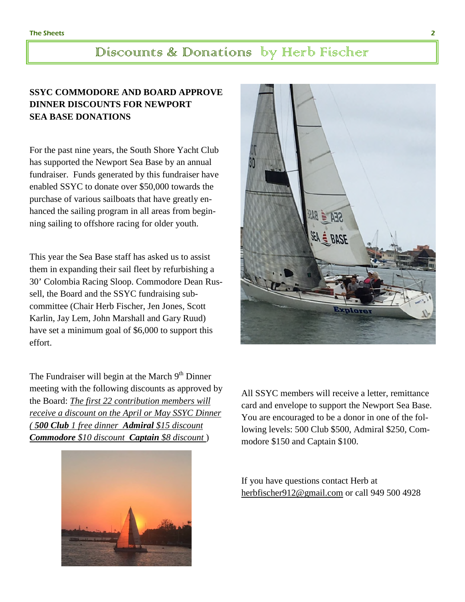### Discounts & Donations by Herb Fischer

#### **SSYC COMMODORE AND BOARD APPROVE DINNER DISCOUNTS FOR NEWPORT SEA BASE DONATIONS**

For the past nine years, the South Shore Yacht Club has supported the Newport Sea Base by an annual fundraiser. Funds generated by this fundraiser have enabled SSYC to donate over \$50,000 towards the purchase of various sailboats that have greatly enhanced the sailing program in all areas from beginning sailing to offshore racing for older youth.

This year the Sea Base staff has asked us to assist them in expanding their sail fleet by refurbishing a 30' Colombia Racing Sloop. Commodore Dean Russell, the Board and the SSYC fundraising subcommittee (Chair Herb Fischer, Jen Jones, Scott Karlin, Jay Lem, John Marshall and Gary Ruud) have set a minimum goal of \$6,000 to support this effort.

The Fundraiser will begin at the March  $9<sup>th</sup>$  Dinner meeting with the following discounts as approved by the Board: *The first 22 contribution members will receive a discount on the April or May SSYC Dinner ( 500 Club 1 free dinner Admiral \$15 discount Commodore \$10 discount Captain \$8 discount* )





All SSYC members will receive a letter, remittance card and envelope to support the Newport Sea Base. You are encouraged to be a donor in one of the following levels: 500 Club \$500, Admiral \$250, Commodore \$150 and Captain \$100.

If you have questions contact Herb at herbfischer912@gmail.com or call 949 500 4928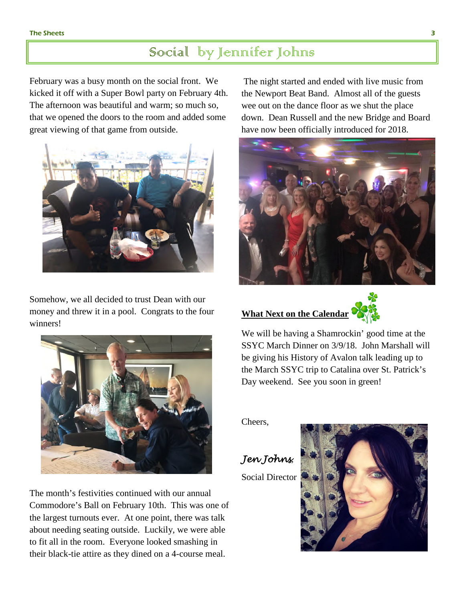### Social by Jennifer Johns

February was a busy month on the social front. We kicked it off with a Super Bowl party on February 4th. The afternoon was beautiful and warm; so much so, that we opened the doors to the room and added some great viewing of that game from outside.



Somehow, we all decided to trust Dean with our money and threw it in a pool. Congrats to the four winners!



The month's festivities continued with our annual Commodore's Ball on February 10th. This was one of the largest turnouts ever. At one point, there was talk about needing seating outside. Luckily, we were able to fit all in the room. Everyone looked smashing in their black-tie attire as they dined on a 4-course meal.

 The night started and ended with live music from the Newport Beat Band. Almost all of the guests wee out on the dance floor as we shut the place down. Dean Russell and the new Bridge and Board have now been officially introduced for 2018.



#### **What Next on the Calendar**



We will be having a Shamrockin' good time at the SSYC March Dinner on 3/9/18. John Marshall will be giving his History of Avalon talk leading up to the March SSYC trip to Catalina over St. Patrick's Day weekend. See you soon in green!

Cheers,

*Jen Johns*,

Social Director

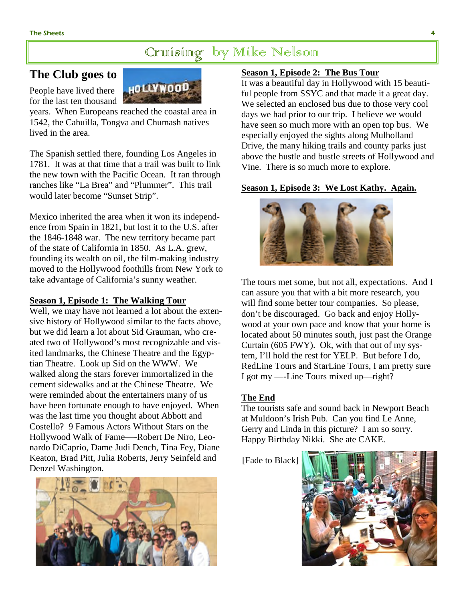## Cruising by Mike Nelson

#### **The Club goes to**

People have lived there for the last ten thousand



years. When Europeans reached the coastal area in 1542, the Cahuilla, Tongva and Chumash natives lived in the area.

The Spanish settled there, founding Los Angeles in 1781. It was at that time that a trail was built to link the new town with the Pacific Ocean. It ran through ranches like "La Brea" and "Plummer". This trail would later become "Sunset Strip".

Mexico inherited the area when it won its independence from Spain in 1821, but lost it to the U.S. after the 1846-1848 war. The new territory became part of the state of California in 1850. As L.A. grew, founding its wealth on oil, the film-making industry moved to the Hollywood foothills from New York to take advantage of California's sunny weather.

#### **Season 1, Episode 1: The Walking Tour**

Well, we may have not learned a lot about the extensive history of Hollywood similar to the facts above, but we did learn a lot about Sid Grauman, who created two of Hollywood's most recognizable and visited landmarks, the Chinese Theatre and the Egyptian Theatre. Look up Sid on the WWW. We walked along the stars forever immortalized in the cement sidewalks and at the Chinese Theatre. We were reminded about the entertainers many of us have been fortunate enough to have enjoyed. When was the last time you thought about Abbott and Costello? 9 Famous Actors Without Stars on the Hollywood Walk of Fame—-Robert De Niro, Leonardo DiCaprio, Dame Judi Dench, Tina Fey, Diane Keaton, Brad Pitt, Julia Roberts, Jerry Seinfeld and Denzel Washington.



#### **Season 1, Episode 2: The Bus Tour**

It was a beautiful day in Hollywood with 15 beautiful people from SSYC and that made it a great day. We selected an enclosed bus due to those very cool days we had prior to our trip. I believe we would have seen so much more with an open top bus. We especially enjoyed the sights along Mulholland Drive, the many hiking trails and county parks just above the hustle and bustle streets of Hollywood and Vine. There is so much more to explore.

#### **Season 1, Episode 3: We Lost Kathy. Again.**



The tours met some, but not all, expectations. And I can assure you that with a bit more research, you will find some better tour companies. So please, don't be discouraged. Go back and enjoy Hollywood at your own pace and know that your home is located about 50 minutes south, just past the Orange Curtain (605 FWY). Ok, with that out of my system, I'll hold the rest for YELP. But before I do, RedLine Tours and StarLine Tours, I am pretty sure I got my —-Line Tours mixed up—right?

#### **The End**

The tourists safe and sound back in Newport Beach at Muldoon's Irish Pub. Can you find Le Anne, Gerry and Linda in this picture? I am so sorry. Happy Birthday Nikki. She ate CAKE.

[Fade to Black]

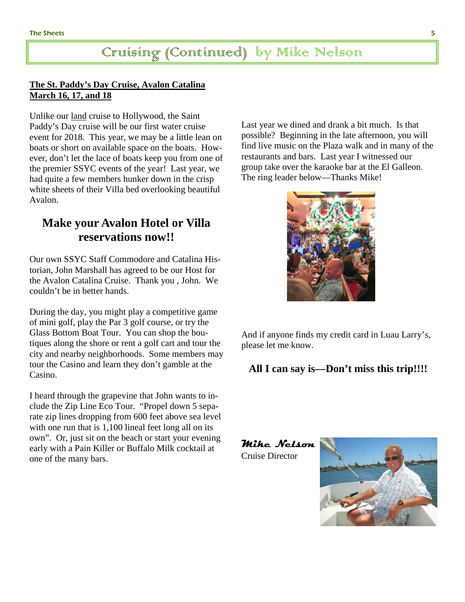## Cruising (Continued) by Mike Nelson

#### **The St. Paddy's Day Cruise, Avalon Catalina March 16, 17, and 18**

Unlike our land cruise to Hollywood, the Saint Paddy's Day cruise will be our first water cruise event for 2018. This year, we may be a little lean on boats or short on available space on the boats. However, don't let the lace of boats keep you from one of the premier SSYC events of the year! Last year, we had quite a few members hunker down in the crisp white sheets of their Villa bed overlooking beautiful Avalon.

#### **Make your Avalon Hotel or Villa reservations now!!**

Our own SSYC Staff Commodore and Catalina Historian, John Marshall has agreed to be our Host for the Avalon Catalina Cruise. Thank you , John. We couldn't be in better hands.

During the day, you might play a competitive game of mini golf, play the Par 3 golf course, or try the Glass Bottom Boat Tour. You can shop the boutiques along the shore or rent a golf cart and tour the city and nearby neighborhoods. Some members may tour the Casino and learn they don't gamble at the Casino.

I heard through the grapevine that John wants to include the Zip Line Eco Tour. "Propel down 5 separate zip lines dropping from 600 feet above sea level with one run that is 1,100 lineal feet long all on its own". Or, just sit on the beach or start your evening early with a Pain Killer or Buffalo Milk cocktail at one of the many bars.

Last year we dined and drank a bit much. Is that possible? Beginning in the late afternoon, you will find live music on the Plaza walk and in many of the restaurants and bars. Last year I witnessed our group take over the karaoke bar at the El Galleon. The ring leader below—Thanks Mike!



And if anyone finds my credit card in Luau Larry's, please let me know.

#### **All I can say is—Don't miss this trip!!!!**

**Mike Nelson** 



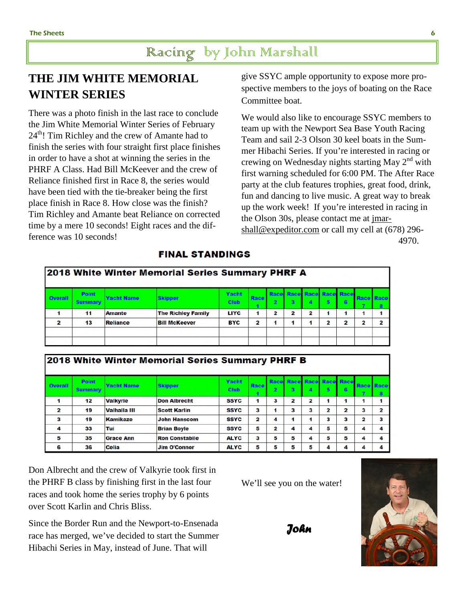### Racing by John Marshall

### **THE JIM WHITE MEMORIAL WINTER SERIES**

There was a photo finish in the last race to conclude the Jim White Memorial Winter Series of February  $24<sup>th</sup>$ ! Tim Richley and the crew of Amante had to finish the series with four straight first place finishes in order to have a shot at winning the series in the PHRF A Class. Had Bill McKeever and the crew of Reliance finished first in Race 8, the series would have been tied with the tie-breaker being the first place finish in Race 8. How close was the finish? Tim Richley and Amante beat Reliance on corrected time by a mere 10 seconds! Eight races and the difference was 10 seconds!

give SSYC ample opportunity to expose more prospective members to the joys of boating on the Race Committee boat.

We would also like to encourage SSYC members to team up with the Newport Sea Base Youth Racing Team and sail 2-3 Olson 30 keel boats in the Summer Hibachi Series. If you're interested in racing or crewing on Wednesday nights starting May  $2<sup>nd</sup>$  with first warning scheduled for 6:00 PM. The After Race party at the club features trophies, great food, drink, fun and dancing to live music. A great way to break up the work week! If you're interested in racing in the Olson 30s, please contact me at jmarshall@expeditor.com or call my cell at (678) 296- 4970.

| 2018 White Winter Memorial Series Summary PHRF A |                         |                   |                           |                             |             |                         |                         |                |                     |   |                  |                          |
|--------------------------------------------------|-------------------------|-------------------|---------------------------|-----------------------------|-------------|-------------------------|-------------------------|----------------|---------------------|---|------------------|--------------------------|
| <b>Overall</b>                                   | Point<br><b>Summary</b> | <b>Yacht Name</b> | <b>Skipper</b>            | <b>Yacht</b><br><b>Club</b> | <b>Race</b> | Racel<br>$\overline{2}$ | $\overline{\mathbf{3}}$ | 4              | Race Race Race Race | G | <b>Race Race</b> | a                        |
| 1                                                | 11                      | <b>Amante</b>     | <b>The Richley Family</b> | <b>LIYC</b>                 | 1           | 2                       | 2                       | $\overline{2}$ |                     |   |                  |                          |
| $\overline{2}$                                   | 13                      | Reliance          | <b>Bill McKeever</b>      | <b>BYC</b>                  | 2           |                         |                         | 1              | 2                   | 2 | 2                | $\overline{\phantom{a}}$ |
|                                                  |                         |                   |                           |                             |             |                         |                         |                |                     |   |                  |                          |
|                                                  |                         |                   |                           |                             |             |                         |                         |                |                     |   |                  |                          |

#### **FINAL STANDINGS**

|                         | 2018 White Winter Memorial Series Summary PHRF B |                     |                       |                             |             |                |                |   |                               |   |           |   |
|-------------------------|--------------------------------------------------|---------------------|-----------------------|-----------------------------|-------------|----------------|----------------|---|-------------------------------|---|-----------|---|
| Overall                 | <b>Point</b><br><b>Summary</b>                   | <b>Yacht Name</b>   | <b>Skipper</b>        | <b>Yacht</b><br><b>Club</b> | <b>Race</b> | $\overline{2}$ | 3              | 4 | Race Race Race Race Race<br>5 | 6 | Race Race |   |
|                         | 12                                               | <b>Valkyrie</b>     | <b>Don Albrecht</b>   | <b>SSYC</b>                 | 1           | 3              | $\overline{2}$ | 2 |                               | 4 |           |   |
| $\overline{\mathbf{z}}$ | 19                                               | <b>Valhalla III</b> | <b>Scott Karlin</b>   | <b>SSYC</b>                 | 3           |                | з              | 3 | 2                             | 2 | з         | 2 |
| з                       | 19                                               | <b>Kamikaze</b>     | <b>John Hanscom</b>   | <b>SSYC</b>                 | 2           | 4              |                |   | 3                             | з | 2         |   |
| 4                       | 33                                               | Tui                 | <b>Brian Boyle</b>    | <b>SSYC</b>                 | 5           | 2              | 4              | 4 | 5                             | 5 | 4         |   |
| 5                       | 35                                               | <b>Grace Ann</b>    | <b>Ron Constabile</b> | <b>ALYC</b>                 | 3           | 5              | 5              | 4 | 5                             | 5 | 4         |   |
| 6                       | 36                                               | <b>Celia</b>        | <b>Jim O'Connor</b>   | <b>ALYC</b>                 | 5           | 5              | 5              | 5 | 4                             | 4 |           |   |

Don Albrecht and the crew of Valkyrie took first in the PHRF B class by finishing first in the last four races and took home the series trophy by 6 points over Scott Karlin and Chris Bliss.

Since the Border Run and the Newport-to-Ensenada race has merged, we've decided to start the Summer Hibachi Series in May, instead of June. That will

We'll see you on the water!

 *John*

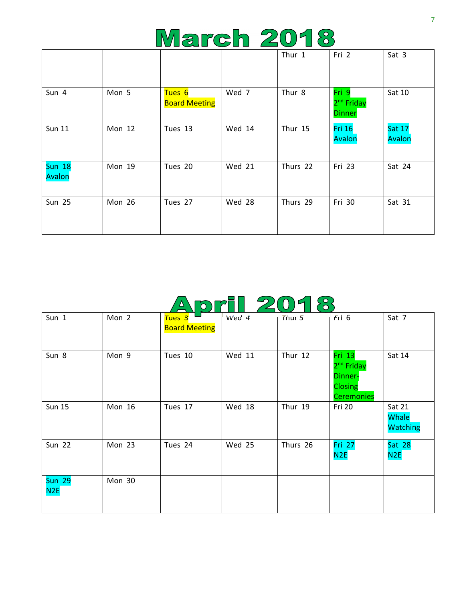# **March 2018**

|                                |        |                                           |               | Thur 1   | Fri 2                                            | Sat 3                          |
|--------------------------------|--------|-------------------------------------------|---------------|----------|--------------------------------------------------|--------------------------------|
| Sun 4                          | Mon 5  | Tues <sub>6</sub><br><b>Board Meeting</b> | Wed 7         | Thur 8   | Fri 9<br>2 <sup>nd</sup> Friday<br><b>Dinner</b> | Sat 10                         |
| <b>Sun 11</b>                  | Mon 12 | Tues 13                                   | Wed 14        | Thur 15  | <b>Fri 16</b><br><b>Avalon</b>                   | <b>Sat 17</b><br><b>Avalon</b> |
| <b>Sun 18</b><br><b>Avalon</b> | Mon 19 | Tues 20                                   | <b>Wed 21</b> | Thurs 22 | Fri 23                                           | Sat 24                         |
| <b>Sun 25</b>                  | Mon 26 | Tues 27                                   | Wed 28        | Thurs 29 | Fri 30                                           | Sat 31                         |

| Sun 1                | Mon 2  | Tues 3 $\blacksquare$<br><b>Board Meeting</b> | Wed 4         | Thur 5   | Fri 6                                                                              | Sat 7                              |
|----------------------|--------|-----------------------------------------------|---------------|----------|------------------------------------------------------------------------------------|------------------------------------|
| Sun 8                | Mon 9  | Tues 10                                       | <b>Wed 11</b> | Thur 12  | Fri 13<br>2 <sup>nd</sup> Friday<br>Dinner-<br><b>Closing</b><br><b>Ceremonies</b> | Sat 14                             |
| <b>Sun 15</b>        | Mon 16 | Tues 17                                       | Wed 18        | Thur 19  | <b>Fri 20</b>                                                                      | Sat 21<br>Whale<br><b>Watching</b> |
| <b>Sun 22</b>        | Mon 23 | Tues 24                                       | Wed 25        | Thurs 26 | Fri 27<br>N2E                                                                      | <b>Sat 28</b><br>N2E               |
| <b>Sun 29</b><br>N2E | Mon 30 |                                               |               |          |                                                                                    |                                    |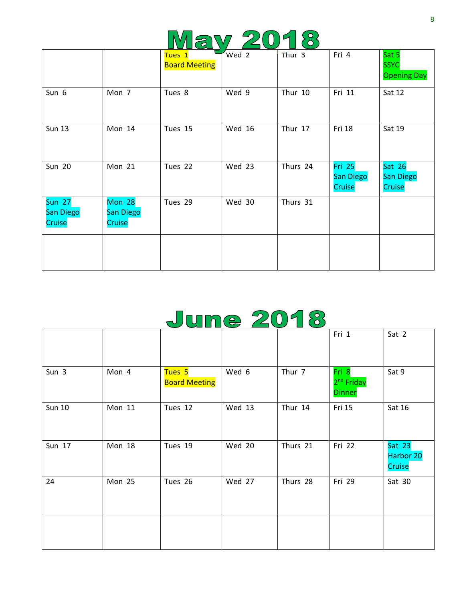|                                      |                               |                                           | lav 2018      |          |                                      |                                            |
|--------------------------------------|-------------------------------|-------------------------------------------|---------------|----------|--------------------------------------|--------------------------------------------|
|                                      |                               | Tues <sub>1</sub><br><b>Board Meeting</b> | Wed 2         | Thur 3   | Fri 4                                | Sat 5<br><b>SSYC</b><br><b>Opening Day</b> |
| Sun 6                                | Mon 7                         | Tues 8                                    | Wed 9         | Thur 10  | Fri 11                               | Sat 12                                     |
| <b>Sun 13</b>                        | Mon 14                        | Tues 15                                   | <b>Wed 16</b> | Thur 17  | Fri 18                               | Sat 19                                     |
| <b>Sun 20</b>                        | Mon 21                        | Tues 22                                   | Wed 23        | Thurs 24 | <b>Fri 25</b><br>San Diego<br>Cruise | Sat 26<br>San Diego<br>Cruise              |
| <b>Sun 27</b><br>San Diego<br>Cruise | Mon 28<br>San Diego<br>Cruise | Tues 29                                   | Wed 30        | Thurs 31 |                                      |                                            |
|                                      |                               |                                           |               |          |                                      |                                            |

|               |        |                                           |        |          | Fri 1                                            | Sat 2                         |
|---------------|--------|-------------------------------------------|--------|----------|--------------------------------------------------|-------------------------------|
| Sun 3         | Mon 4  | Tues <sub>5</sub><br><b>Board Meeting</b> | Wed 6  | Thur 7   | Fri 8<br>2 <sup>nd</sup> Friday<br><b>Dinner</b> | Sat 9                         |
| <b>Sun 10</b> | Mon 11 | Tues 12                                   | Wed 13 | Thur 14  | Fri 15                                           | Sat 16                        |
| Sun 17        | Mon 18 | Tues 19                                   | Wed 20 | Thurs 21 | Fri 22                                           | Sat 23<br>Harbor 20<br>Cruise |
| 24            | Mon 25 | Tues 26                                   | Wed 27 | Thurs 28 | Fri 29                                           | Sat 30                        |
|               |        |                                           |        |          |                                                  |                               |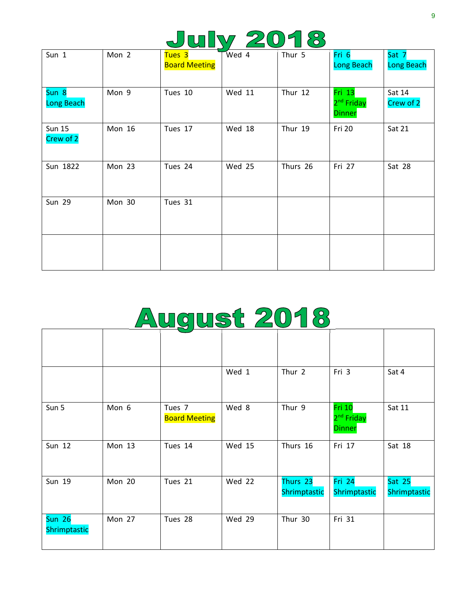|  | JUIV 2018 |  |
|--|-----------|--|
|  |           |  |

| Sun 1                      | Mon 2  | Tues <sub>3</sub><br><b>Board Meeting</b> | Wed 4         | Thur 5   | Fri 6<br><b>Long Beach</b>                        | Sat 7<br><b>Long Beach</b> |
|----------------------------|--------|-------------------------------------------|---------------|----------|---------------------------------------------------|----------------------------|
| Sun 8<br><b>Long Beach</b> | Mon 9  | Tues 10                                   | <b>Wed 11</b> | Thur 12  | Fri 13<br>2 <sup>nd</sup> Friday<br><b>Dinner</b> | Sat 14<br>Crew of 2        |
| <b>Sun 15</b><br>Crew of 2 | Mon 16 | Tues 17                                   | Wed 18        | Thur 19  | <b>Fri 20</b>                                     | Sat 21                     |
| Sun 1822                   | Mon 23 | Tues 24                                   | Wed 25        | Thurs 26 | Fri 27                                            | Sat 28                     |
| <b>Sun 29</b>              | Mon 30 | Tues 31                                   |               |          |                                                   |                            |
|                            |        |                                           |               |          |                                                   |                            |

# August 2018

|                               |        |                                | Wed 1         | Thur 2                   | Fri 3                                                    | Sat 4                  |
|-------------------------------|--------|--------------------------------|---------------|--------------------------|----------------------------------------------------------|------------------------|
| Sun 5                         | Mon 6  | Tues 7<br><b>Board Meeting</b> | Wed 8         | Thur 9                   | <b>Fri 10</b><br>2 <sup>nd</sup> Friday<br><b>Dinner</b> | Sat 11                 |
| <b>Sun 12</b>                 | Mon 13 | Tues 14                        | <b>Wed 15</b> | Thurs 16                 | Fri 17                                                   | Sat 18                 |
| Sun 19                        | Mon 20 | Tues 21                        | Wed 22        | Thurs 23<br>Shrimptastic | Fri 24<br>Shrimptastic                                   | Sat 25<br>Shrimptastic |
| <b>Sun 26</b><br>Shrimptastic | Mon 27 | Tues 28                        | Wed 29        | Thur 30                  | Fri 31                                                   |                        |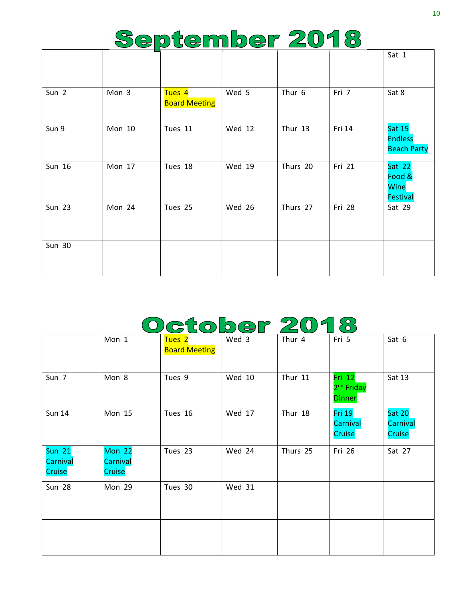# September 2018

 $\overline{\Gamma}$ 

|               |        |                                           |               |          |        | Jal T                                                 |
|---------------|--------|-------------------------------------------|---------------|----------|--------|-------------------------------------------------------|
| Sun 2         | Mon 3  | Tues <sub>4</sub><br><b>Board Meeting</b> | Wed 5         | Thur 6   | Fri 7  | Sat 8                                                 |
| Sun 9         | Mon 10 | Tues 11                                   | <b>Wed 12</b> | Thur 13  | Fri 14 | <b>Sat 15</b><br><b>Endless</b><br><b>Beach Party</b> |
| Sun 16        | Mon 17 | Tues 18                                   | <b>Wed 19</b> | Thurs 20 | Fri 21 | <b>Sat 22</b><br>Food &<br>Wine<br><b>Festival</b>    |
| <b>Sun 23</b> | Mon 24 | Tues 25                                   | Wed 26        | Thurs 27 | Fri 28 | Sat 29                                                |
| <b>Sun 30</b> |        |                                           |               |          |        |                                                       |

# October 2018

|                                     | Mon 1                               | Tues <sub>2</sub><br><b>Board Meeting</b> | Wed 3         | Thur 4   | Fri 5                                             | Sat 6                               |
|-------------------------------------|-------------------------------------|-------------------------------------------|---------------|----------|---------------------------------------------------|-------------------------------------|
| Sun 7                               | Mon 8                               | Tues 9                                    | <b>Wed 10</b> | Thur 11  | Fri 12<br>2 <sup>nd</sup> Friday<br><b>Dinner</b> | Sat 13                              |
| <b>Sun 14</b>                       | Mon 15                              | Tues 16                                   | <b>Wed 17</b> | Thur 18  | <b>Fri 19</b><br>Carnival<br>Cruise               | <b>Sat 20</b><br>Carnival<br>Cruise |
| <b>Sun 21</b><br>Carnival<br>Cruise | <b>Mon 22</b><br>Carnival<br>Cruise | Tues 23                                   | Wed 24        | Thurs 25 | Fri 26                                            | Sat 27                              |
| <b>Sun 28</b>                       | Mon 29                              | Tues 30                                   | <b>Wed 31</b> |          |                                                   |                                     |
|                                     |                                     |                                           |               |          |                                                   |                                     |

 $\overline{\phantom{a}}$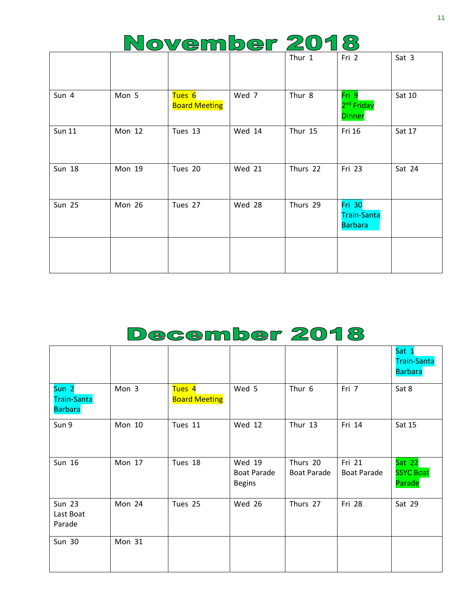# November 2018

|               |        |                                |               | Thur 1   | Fri 2                                                 | Sat 3    |
|---------------|--------|--------------------------------|---------------|----------|-------------------------------------------------------|----------|
| Sun 4         | Mon 5  | Tues 6<br><b>Board Meeting</b> | Wed 7         | Thur 8   | Fri 9<br>2 <sup>nd</sup> Friday<br><b>Dinner</b>      | Sat 10   |
| <b>Sun 11</b> | Mon 12 | Tues 13                        | Wed 14        | Thur 15  | Fri 16                                                | Sat 17   |
| <b>Sun 18</b> | Mon 19 | Tues 20                        | <b>Wed 21</b> | Thurs 22 | Fri 23                                                | Sat $24$ |
| <b>Sun 25</b> | Mon 26 | Tues 27                        | Wed 28        | Thurs 29 | <b>Fri 30</b><br><b>Train-Santa</b><br><b>Barbara</b> |          |
|               |        |                                |               |          |                                                       |          |

# December 2018

|                                                          |               |                                           |                                                      |                                |                              | Sat 1<br><b>Train-Santa</b><br><b>Barbara</b> |
|----------------------------------------------------------|---------------|-------------------------------------------|------------------------------------------------------|--------------------------------|------------------------------|-----------------------------------------------|
| Sun <sub>2</sub><br><b>Train-Santa</b><br><b>Barbara</b> | Mon 3         | Tues <sub>4</sub><br><b>Board Meeting</b> | Wed 5                                                | Thur 6                         | Fri 7                        | Sat 8                                         |
| Sun 9                                                    | <b>Mon 10</b> | Tues 11                                   | <b>Wed 12</b>                                        | Thur 13                        | Fri 14                       | Sat 15                                        |
| <b>Sun 16</b>                                            | Mon 17        | Tues 18                                   | <b>Wed 19</b><br><b>Boat Parade</b><br><b>Begins</b> | Thurs 20<br><b>Boat Parade</b> | Fri 21<br><b>Boat Parade</b> | Sat 22<br><b>SSYC Boat</b><br>Parade          |
| <b>Sun 23</b><br>Last Boat<br>Parade                     | Mon 24        | Tues 25                                   | <b>Wed 26</b>                                        | Thurs 27                       | Fri 28                       | Sat 29                                        |
| <b>Sun 30</b>                                            | Mon 31        |                                           |                                                      |                                |                              |                                               |